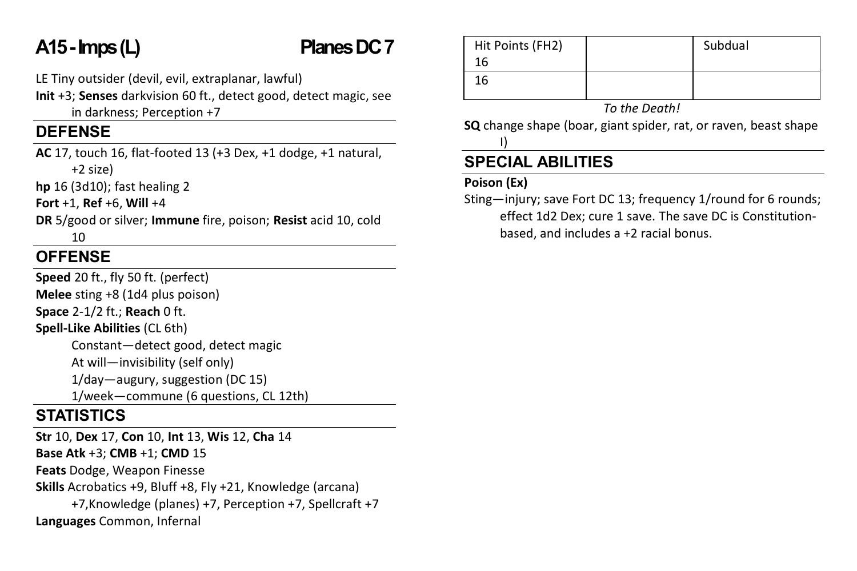# **A15 -Imps(L) PlanesDC 7**

LE Tiny outsider (devil, evil, extraplanar, lawful)

**Init** +3; **Senses** darkvision 60 ft., detect good, detect magic, see in darkness; Perception +7

## **DEFENSE**

**AC** 17, touch 16, flat-footed 13 (+3 Dex, +1 dodge, +1 natural, +2 size)

**hp** 16 (3d10); fast healing 2

**Fort** +1, **Ref** +6, **Will** +4

**DR** 5/good or silver; **Immune** fire, poison; **Resist** acid 10, cold 10

## **OFFENSE**

**Speed** 20 ft., fly 50 ft. (perfect) **Melee** sting +8 (1d4 plus poison) **Space** 2-1/2 ft.; **Reach** 0 ft. **Spell-Like Abilities** (CL 6th) Constant—detect good, detect magic At will—invisibility (self only)

1/day—augury, suggestion (DC 15)

1/week—commune (6 questions, CL 12th)

## **STATISTICS**

**Str** 10, **Dex** 17, **Con** 10, **Int** 13, **Wis** 12, **Cha** 14 **Base Atk** +3; **CMB** +1; **CMD** 15 **Feats** Dodge, Weapon Finesse **Skills** Acrobatics +9, Bluff +8, Fly +21, Knowledge (arcana) +7,Knowledge (planes) +7, Perception +7, Spellcraft +7 **Languages** Common, Infernal

| Hit Points (FH2) | Subdual |
|------------------|---------|
| 16               |         |
| 16               |         |
|                  |         |

*To the Death!*

**SQ** change shape (boar, giant spider, rat, or raven, beast shape I)

## **SPECIAL ABILITIES**

### **Poison (Ex)**

Sting—injury; save Fort DC 13; frequency 1/round for 6 rounds; effect 1d2 Dex; cure 1 save. The save DC is Constitutionbased, and includes a +2 racial bonus.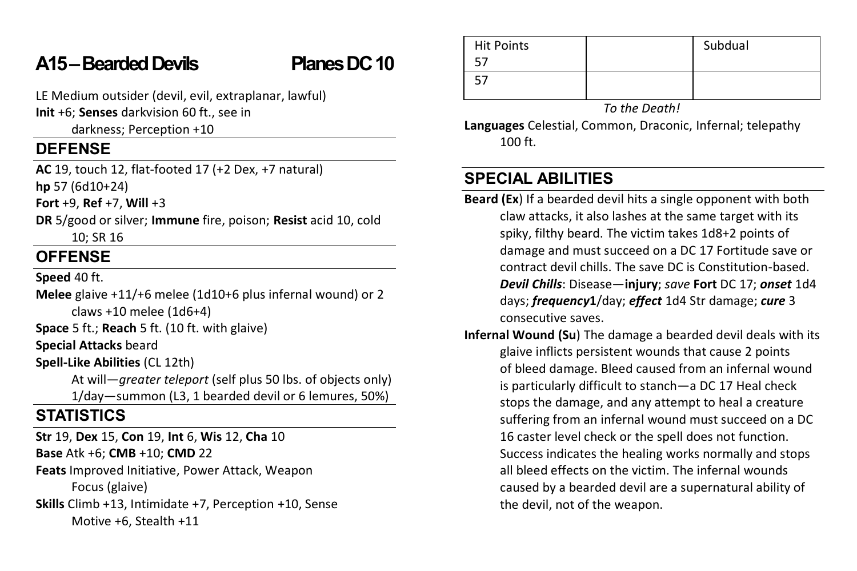## **A15 –Bearded Devils Planes DC 10**

LE Medium outsider (devil, evil, extraplanar, lawful)

**Init** +6; **Senses** darkvision 60 ft., see in

darkness; Perception +10

### **DEFENSE**

**AC** 19, touch 12, flat-footed 17 (+2 Dex, +7 natural) **hp** 57 (6d10+24)

**Fort** +9, **Ref** +7, **Will** +3

**DR** 5/good or silver; **Immune** fire, poison; **Resist** acid 10, cold 10; SR 16

## **OFFENSE**

**Speed** 40 ft.

**Melee** glaive +11/+6 melee (1d10+6 plus infernal wound) or 2 claws +10 melee (1d6+4)

**Space** 5 ft.; **Reach** 5 ft. (10 ft. with glaive)

**Special Attacks** beard

**Spell-Like Abilities** (CL 12th)

At will—*greater teleport* (self plus 50 lbs. of objects only) 1/day—summon (L3, 1 bearded devil or 6 lemures, 50%)

## **STATISTICS**

**Str** 19, **Dex** 15, **Con** 19, **Int** 6, **Wis** 12, **Cha** 10

**Base** Atk +6; **CMB** +10; **CMD** 22

**Feats** Improved Initiative, Power Attack, Weapon

Focus (glaive)

**Skills** Climb +13, Intimidate +7, Perception +10, Sense Motive +6, Stealth +11

| <b>Hit Points</b> | Subdual |
|-------------------|---------|
|                   |         |
|                   |         |
|                   |         |

*To the Death!*

**Languages** Celestial, Common, Draconic, Infernal; telepathy 100 ft.

## **SPECIAL ABILITIES**

- **Beard (Ex**) If a bearded devil hits a single opponent with both claw attacks, it also lashes at the same target with its spiky, filthy beard. The victim takes 1d8+2 points of damage and must succeed on a DC 17 Fortitude save or contract devil chills. The save DC is Constitution-based. *Devil Chills*: Disease—**injury**; *save* **Fort** DC 17; *onset* 1d4 days; *frequency***1**/day; *effect* 1d4 Str damage; *cure* 3 consecutive saves.
- **Infernal Wound (Su**) The damage a bearded devil deals with its glaive inflicts persistent wounds that cause 2 points of bleed damage. Bleed caused from an infernal wound is particularly difficult to stanch—a DC 17 Heal check stops the damage, and any attempt to heal a creature suffering from an infernal wound must succeed on a DC 16 caster level check or the spell does not function. Success indicates the healing works normally and stops all bleed effects on the victim. The infernal wounds caused by a bearded devil are a supernatural ability of the devil, not of the weapon.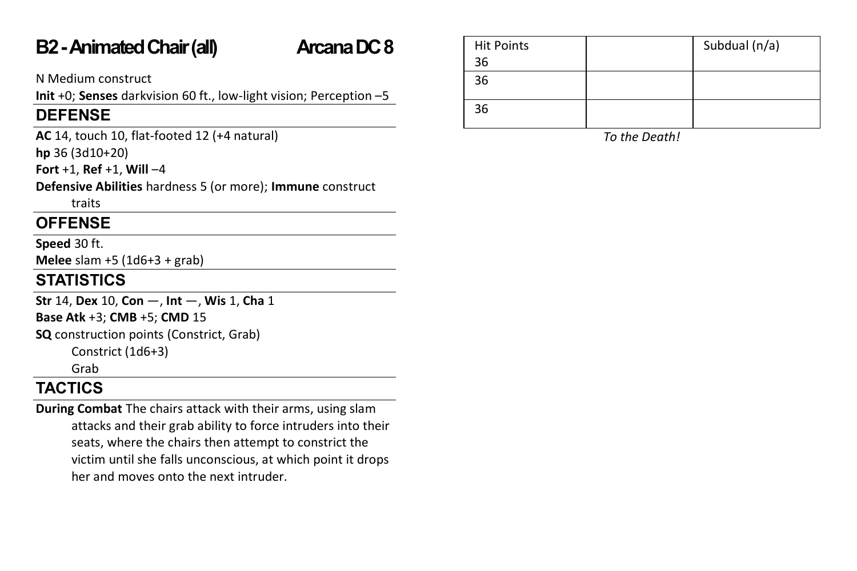## **B2 -Animated Chair(all) Arcana DC 8**

N Medium construct

**Init** +0; **Senses** darkvision 60 ft., low-light vision; Perception –5

## **DEFENSE**

**AC** 14, touch 10, flat-footed 12 (+4 natural)

**hp** 36 (3d10+20)

**Fort** +1, **Ref** +1, **Will** –4

**Defensive Abilities** hardness 5 (or more); **Immune** construct

traits

## **OFFENSE**

**Speed** 30 ft.

**Melee** slam +5 (1d6+3 + grab)

## **STATISTICS**

**Str** 14, **Dex** 10, **Con** —, **Int** —, **Wis** 1, **Cha** 1

**Base Atk** +3; **CMB** +5; **CMD** 15

**SQ** construction points (Constrict, Grab) Constrict (1d6+3)

Grab

## **TACTICS**

**During Combat** The chairs attack with their arms, using slam attacks and their grab ability to force intruders into their seats, where the chairs then attempt to constrict the victim until she falls unconscious, at which point it drops her and moves onto the next intruder.

| <b>Hit Points</b> | Subdual (n/a) |
|-------------------|---------------|
| 36                |               |
| 36                |               |
| 36                |               |

*To the Death!*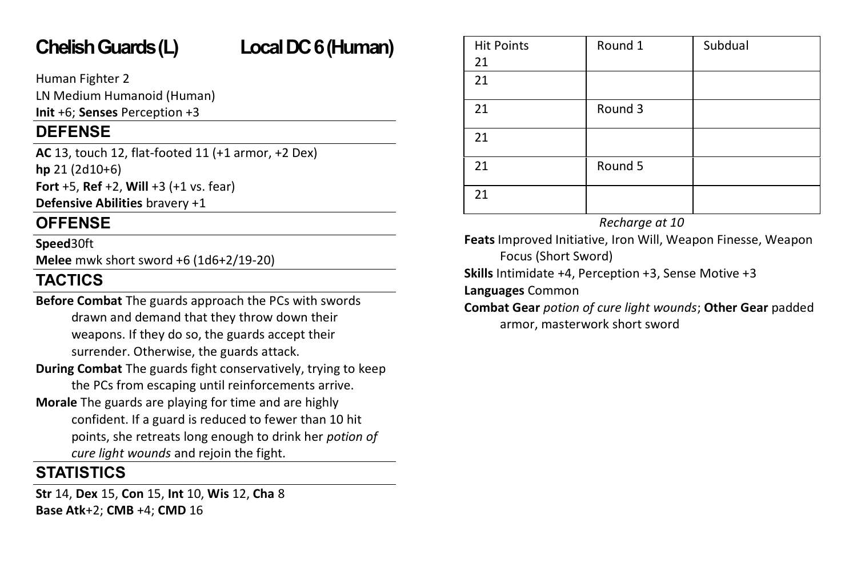# **Chelish Guards(L) Local DC 6 (Human)**

Human Fighter 2

LN Medium Humanoid (Human)

**Init** +6; **Senses** Perception +3

## **DEFENSE**

**AC** 13, touch 12, flat-footed 11 (+1 armor, +2 Dex) **hp** 21 (2d10+6)

**Fort** +5, **Ref** +2, **Will** +3 (+1 vs. fear)

**Defensive Abilities** bravery +1

## **OFFENSE**

### **Speed**30ft

**Melee** mwk short sword +6 (1d6+2/19-20)

## **TACTICS**

**Before Combat** The guards approach the PCs with swords drawn and demand that they throw down their weapons. If they do so, the guards accept their surrender. Otherwise, the guards attack.

- **During Combat** The guards fight conservatively, trying to keep the PCs from escaping until reinforcements arrive.
- **Morale** The guards are playing for time and are highly confident. If a guard is reduced to fewer than 10 hit points, she retreats long enough to drink her *potion of cure light wounds* and rejoin the fight.

## **STATISTICS**

**Str** 14, **Dex** 15, **Con** 15, **Int** 10, **Wis** 12, **Cha** 8 **Base Atk**+2; **CMB** +4; **CMD** 16

| <b>Hit Points</b><br>21 | Round 1 | Subdual |
|-------------------------|---------|---------|
| 21                      |         |         |
| 21                      | Round 3 |         |
| 21                      |         |         |
| 21                      | Round 5 |         |
| 21                      |         |         |

*Recharge at 10*

**Feats** Improved Initiative, Iron Will, Weapon Finesse, Weapon Focus (Short Sword)

**Skills** Intimidate +4, Perception +3, Sense Motive +3

**Languages** Common

**Combat Gear** *potion of cure light wounds*; **Other Gear** padded armor, masterwork short sword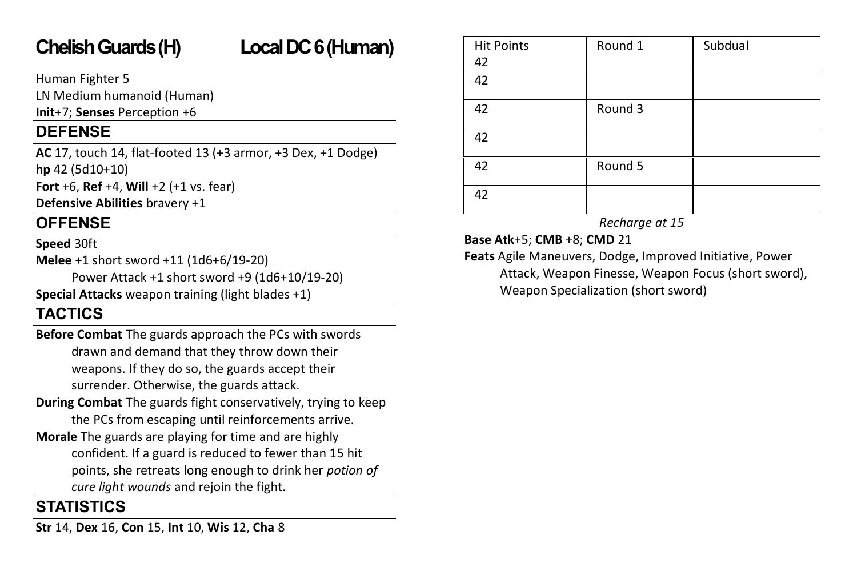# **Chelish Guards (H) Local DC 6(Human)**

Human Fighter 5

LN Medium humanoid (Human)

**Init**+7; **Senses** Perception +6

## **DEFENSE**

**AC** 17, touch 14, flat-footed 13 (+3 armor, +3 Dex, +1 Dodge) **hp** 42 (5d10+10)

**Fort** +6, **Ref** +4, **Will** +2 (+1 vs. fear)

**Defensive Abilities** bravery +1

## **OFFENSE**

### **Speed** 30ft

**Melee** +1 short sword +11 (1d6+6/19-20)

Power Attack +1 short sword +9 (1d6+10/19-20)

**Special Attacks** weapon training (light blades +1)

## **TACTICS**

- **Before Combat** The guards approach the PCs with swords drawn and demand that they throw down their weapons. If they do so, the guards accept their surrender. Otherwise, the guards attack.
- **During Combat** The guards fight conservatively, trying to keep the PCs from escaping until reinforcements arrive.
- **Morale** The guards are playing for time and are highly confident. If a guard is reduced to fewer than 15 hit points, she retreats long enough to drink her *potion of cure light wounds* and rejoin the fight.

## **STATISTICS**

**Str** 14, **Dex** 16, **Con** 15, **Int** 10, **Wis** 12, **Cha** 8

| <b>Hit Points</b><br>42 | Round 1 | Subdual |
|-------------------------|---------|---------|
| 42                      |         |         |
| 42                      | Round 3 |         |
| 42                      |         |         |
| 42                      | Round 5 |         |
| 42                      |         |         |

*Recharge at 15*

**Base Atk**+5; **CMB** +8; **CMD** 21

**Feats** Agile Maneuvers, Dodge, Improved Initiative, Power Attack, Weapon Finesse, Weapon Focus (short sword), Weapon Specialization (short sword)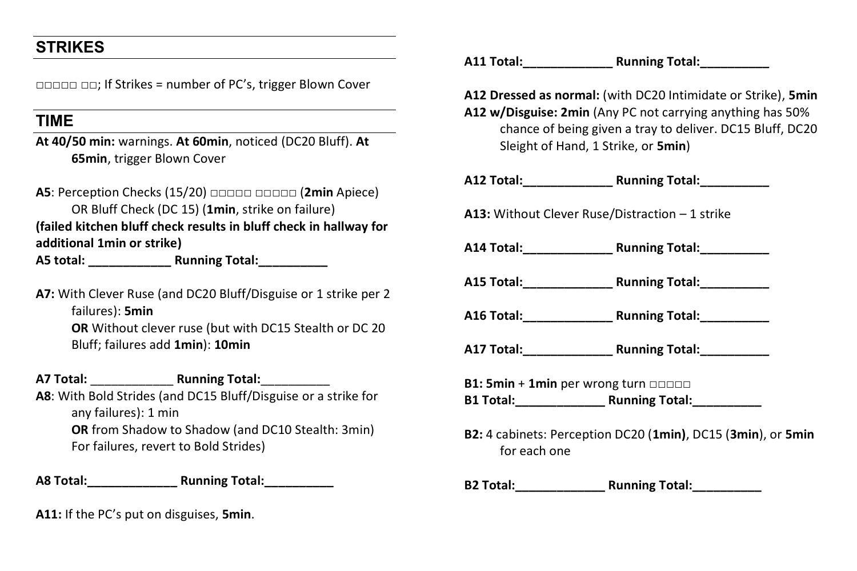## **STRIKES**

□□□□□ □□; If Strikes = number of PC's, trigger Blown Cover

## **TIME**

**At 40/50 min:** warnings. **At 60min**, noticed (DC20 Bluff). **At 65min**, trigger Blown Cover

**A5**: Perception Checks (15/20) □□□□□ □□□□□ (2min Apiece) OR Bluff Check (DC 15) (**1min**, strike on failure) **(failed kitchen bluff check results in bluff check in hallway for additional 1min or strike) A5 total: \_\_\_\_\_\_\_\_\_\_\_\_ Running Total:\_\_\_\_\_\_\_\_\_\_**

**A7:** With Clever Ruse (and DC20 Bluff/Disguise or 1 strike per 2 failures): **5min OR** Without clever ruse (but with DC15 Stealth or DC 20 Bluff; failures add **1min**): **10min**

**A7 Total:** \_\_\_\_\_\_\_\_\_\_\_\_ **Running Total:**\_\_\_\_\_\_\_\_\_\_ **A8**: With Bold Strides (and DC15 Bluff/Disguise or a strike for any failures): 1 min **OR** from Shadow to Shadow (and DC10 Stealth: 3min) For failures, revert to Bold Strides)

**A8 Total:\_\_\_\_\_\_\_\_\_\_\_\_\_ Running Total:\_\_\_\_\_\_\_\_\_\_**

**A11:** If the PC's put on disguises, **5min**.

**A11 Total:\_\_\_\_\_\_\_\_\_\_\_\_\_ Running Total:\_\_\_\_\_\_\_\_\_\_**

**A12 Dressed as normal:** (with DC20 Intimidate or Strike), **5min A12 w/Disguise: 2min** (Any PC not carrying anything has 50% chance of being given a tray to deliver. DC15 Bluff, DC20 Sleight of Hand, 1 Strike, or **5min**)

**A12 Total:\_\_\_\_\_\_\_\_\_\_\_\_\_ Running Total:\_\_\_\_\_\_\_\_\_\_**

**A13:** Without Clever Ruse/Distraction – 1 strike

**A14 Total:\_\_\_\_\_\_\_\_\_\_\_\_\_ Running Total:\_\_\_\_\_\_\_\_\_\_**

**A15 Total:\_\_\_\_\_\_\_\_\_\_\_\_\_ Running Total:\_\_\_\_\_\_\_\_\_\_**

**A16 Total:\_\_\_\_\_\_\_\_\_\_\_\_\_ Running Total:\_\_\_\_\_\_\_\_\_\_**

**A17 Total:\_\_\_\_\_\_\_\_\_\_\_\_\_ Running Total:\_\_\_\_\_\_\_\_\_\_**

**B1: 5min + 1min** per wrong turn □□□□□ **B1 Total:\_\_\_\_\_\_\_\_\_\_\_\_\_ Running Total:\_\_\_\_\_\_\_\_\_\_**

**B2:** 4 cabinets: Perception DC20 (**1min)**, DC15 (**3min**), or **5min** for each one

**B2 Total:\_\_\_\_\_\_\_\_\_\_\_\_\_ Running Total:\_\_\_\_\_\_\_\_\_\_**